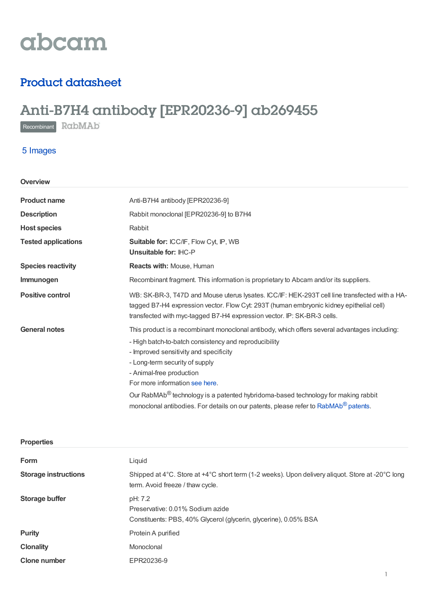

## Product datasheet

# Anti-B7H4 antibody [EPR20236-9] ab269455

Recombinant RabMAb

### 5 Images

| Overview                   |                                                                                                                                                                                                                                                                                                                                                                                                                                                                                                      |  |  |
|----------------------------|------------------------------------------------------------------------------------------------------------------------------------------------------------------------------------------------------------------------------------------------------------------------------------------------------------------------------------------------------------------------------------------------------------------------------------------------------------------------------------------------------|--|--|
| <b>Product name</b>        | Anti-B7H4 antibody [EPR20236-9]                                                                                                                                                                                                                                                                                                                                                                                                                                                                      |  |  |
| <b>Description</b>         | Rabbit monoclonal [EPR20236-9] to B7H4                                                                                                                                                                                                                                                                                                                                                                                                                                                               |  |  |
| <b>Host species</b>        | Rabbit                                                                                                                                                                                                                                                                                                                                                                                                                                                                                               |  |  |
| <b>Tested applications</b> | Suitable for: ICC/IF, Flow Cyt, IP, WB<br>Unsuitable for: IHC-P                                                                                                                                                                                                                                                                                                                                                                                                                                      |  |  |
| <b>Species reactivity</b>  | Reacts with: Mouse, Human                                                                                                                                                                                                                                                                                                                                                                                                                                                                            |  |  |
| Immunogen                  | Recombinant fragment. This information is proprietary to Abcam and/or its suppliers.                                                                                                                                                                                                                                                                                                                                                                                                                 |  |  |
| <b>Positive control</b>    | WB: SK-BR-3, T47D and Mouse uterus lysates. ICC/IF: HEK-293T cell line transfected with a HA-<br>tagged B7-H4 expression vector. Flow Cyt: 293T (human embryonic kidney epithelial cell)<br>transfected with myc-tagged B7-H4 expression vector. IP: SK-BR-3 cells.                                                                                                                                                                                                                                  |  |  |
| <b>General notes</b>       | This product is a recombinant monoclonal antibody, which offers several advantages including:<br>- High batch-to-batch consistency and reproducibility<br>- Improved sensitivity and specificity<br>- Long-term security of supply<br>- Animal-free production<br>For more information see here.<br>Our RabMAb <sup>®</sup> technology is a patented hybridoma-based technology for making rabbit<br>monoclonal antibodies. For details on our patents, please refer to RabMAb <sup>®</sup> patents. |  |  |

| <b>Properties</b>           |                                                                                                                                      |  |
|-----------------------------|--------------------------------------------------------------------------------------------------------------------------------------|--|
| Form                        | Liquid                                                                                                                               |  |
| <b>Storage instructions</b> | Shipped at 4°C. Store at +4°C short term (1-2 weeks). Upon delivery aliquot. Store at -20°C long<br>term. Avoid freeze / thaw cycle. |  |
| Storage buffer              | pH: 7.2<br>Preservative: 0.01% Sodium azide<br>Constituents: PBS, 40% Glycerol (glycerin, glycerine), 0.05% BSA                      |  |
| <b>Purity</b>               | Protein A purified                                                                                                                   |  |
| <b>Clonality</b>            | Monoclonal                                                                                                                           |  |
| <b>Clone number</b>         | EPR20236-9                                                                                                                           |  |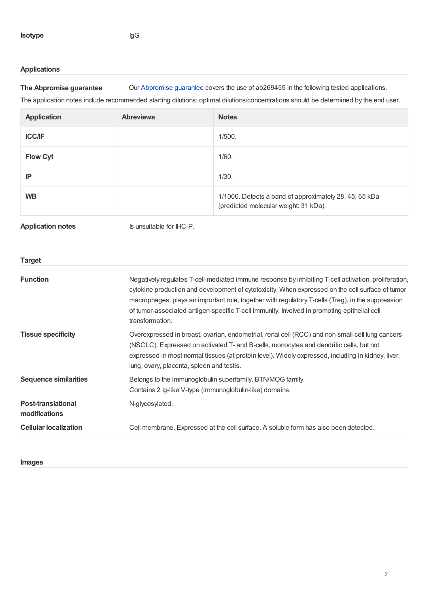#### **Applications**

**The Abpromise guarantee** Our [Abpromise](https://www.abcam.com/abpromise) guarantee covers the use of ab269455 in the following tested applications.

The application notes include recommended starting dilutions; optimal dilutions/concentrations should be determined by the end user.

| <b>Application</b>                         | <b>Abreviews</b>                                                                                                                                                                                                                                                                                                                                                                                                                | <b>Notes</b>                                                                                    |  |
|--------------------------------------------|---------------------------------------------------------------------------------------------------------------------------------------------------------------------------------------------------------------------------------------------------------------------------------------------------------------------------------------------------------------------------------------------------------------------------------|-------------------------------------------------------------------------------------------------|--|
| <b>ICC/IF</b>                              |                                                                                                                                                                                                                                                                                                                                                                                                                                 | 1/500.                                                                                          |  |
| <b>Flow Cyt</b>                            |                                                                                                                                                                                                                                                                                                                                                                                                                                 | 1/60.                                                                                           |  |
| IP                                         |                                                                                                                                                                                                                                                                                                                                                                                                                                 | 1/30.                                                                                           |  |
| <b>WB</b>                                  |                                                                                                                                                                                                                                                                                                                                                                                                                                 | 1/1000. Detects a band of approximately 28, 45, 65 kDa<br>(predicted molecular weight: 31 kDa). |  |
| <b>Application notes</b>                   | Is unsuitable for IHC-P.                                                                                                                                                                                                                                                                                                                                                                                                        |                                                                                                 |  |
| <b>Target</b>                              |                                                                                                                                                                                                                                                                                                                                                                                                                                 |                                                                                                 |  |
| <b>Function</b>                            | Negatively regulates T-cell-mediated immune response by inhibiting T-cell activation, proliferation,<br>cytokine production and development of cytotoxicity. When expressed on the cell surface of tumor<br>macrophages, plays an important role, together with regulatory T-cells (Treg), in the suppression<br>of tumor-associated antigen-specific T-cell immunity. Involved in promoting epithelial cell<br>transformation. |                                                                                                 |  |
| <b>Tissue specificity</b>                  | Overexpressed in breast, ovarian, endometrial, renal cell (RCC) and non-small-cell lung cancers<br>(NSCLC). Expressed on activated T- and B-cells, monocytes and dendritic cells, but not<br>expressed in most normal tissues (at protein level). Widely expressed, including in kidney, liver,<br>lung, ovary, placenta, spleen and testis.                                                                                    |                                                                                                 |  |
| <b>Sequence similarities</b>               | Belongs to the immunoglobulin superfamily. BTN/MOG family.<br>Contains 2 lg-like V-type (immunoglobulin-like) domains.                                                                                                                                                                                                                                                                                                          |                                                                                                 |  |
| <b>Post-translational</b><br>modifications | N-glycosylated.                                                                                                                                                                                                                                                                                                                                                                                                                 |                                                                                                 |  |
| <b>Cellular localization</b>               | Cell membrane. Expressed at the cell surface. A soluble form has also been detected.                                                                                                                                                                                                                                                                                                                                            |                                                                                                 |  |

**Images**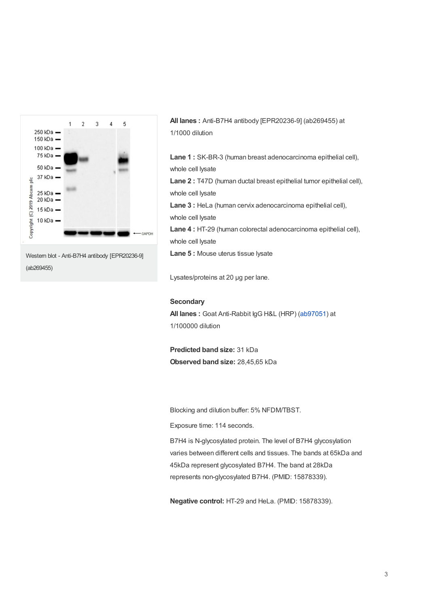

**All lanes :** Anti-B7H4 antibody [EPR20236-9] (ab269455) at 1/1000 dilution

**Lane 1 :** SK-BR-3 (human breast adenocarcinoma epithelial cell), whole cell lysate

**Lane 2 :** T47D (human ductal breast epithelial tumor epithelial cell), whole cell lysate

**Lane 3 :** HeLa (human cervix adenocarcinoma epithelial cell), whole cell lysate

**Lane 4 :** HT-29 (human colorectal adenocarcinoma epithelial cell), whole cell lysate

**Lane 5 :** Mouse uterus tissue lysate

Lysates/proteins at 20 µg per lane.

#### **Secondary**

**All lanes :** Goat Anti-Rabbit IgG H&L (HRP) [\(ab97051](https://www.abcam.com/ab97051.html)) at 1/100000 dilution

**Predicted band size:** 31 kDa **Observed band size:** 28,45,65 kDa

Blocking and dilution buffer: 5% NFDM/TBST.

Exposure time: 114 seconds.

B7H4 is N-glycosylated protein. The level of B7H4 glycosylation varies between different cells and tissues. The bands at 65kDa and 45kDa represent glycosylated B7H4. The band at 28kDa represents non-glycosylated B7H4. (PMID: 15878339).

**Negative control:** HT-29 and HeLa. (PMID: 15878339).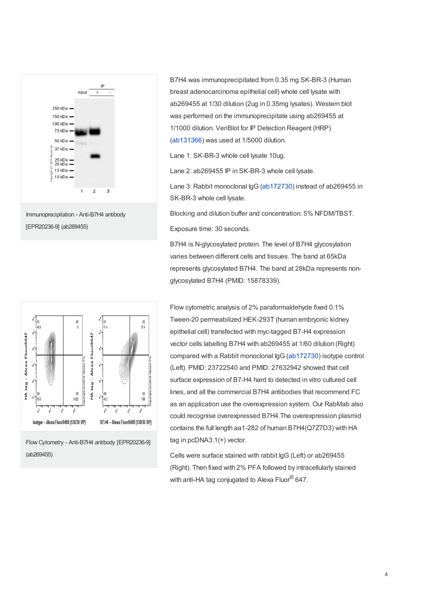



B7H4 was immunoprecipitated from 0.35 mg SK-BR-3 (Human breast adenocarcinoma epithelial cell) whole cell lysate with ab269455 at 1/30 dilution (2ug in 0.35mg lysates). Western blot was performed on the immunoprecipitate using ab269455 at 1/1000 dilution. VeriBlot for IP Detection Reagent (HRP) ([ab131366](https://www.abcam.com/ab131366.html)) was used at 1/5000 dilution.

Lane 1: SK-BR-3 whole cell lysate 10ug.

Lane 2: ab269455 IP in SK-BR-3 whole cell lysate.

Lane 3: Rabbit monoclonal IgG [\(ab172730](https://www.abcam.com/ab172730.html)) instead of ab269455 in SK-BR-3 whole cell lysate.

Blocking and dilution buffer and concentration: 5% NFDM/TBST. Exposure time: 30 seconds.

B7H4 is N-glycosylated protein. The level of B7H4 glycosylation varies between different cells and tissues. The band at 65kDa represents glycosylated B7H4. The band at 28kDa represents nonglycosylated B7H4 (PMID: 15878339).



Flow Cytometry - Anti-B7H4 antibody [EPR20236-9] (ab269455)

Flow cytometric analysis of 2% paraformaldehyde fixed 0.1% Tween-20 permeabilized HEK-293T (human embryonic kidney epithelial cell) transfected with myc-tagged B7-H4 expression vector cells labelling B7H4 with ab269455 at 1/60 dilution (Right) compared with a Rabbit monoclonal IgG [\(ab172730](https://www.abcam.com/ab172730.html)) isotype control (Left). PMID: 23722540 and PMID: 27632942 showed that cell surface expression of B7-H4 hard to detected in vitro cultured cell lines, and all the commercial B7H4 antibodies that recommend FC as an application use the overexpression system. Our RabMab also could recognise overexpressed B7H4.The overexpression plasmid contains the full length aa1-282 of human B7H4(Q7Z7D3) with HA tag in pcDNA3.1(+) vector.

Cells were surface stained with rabbit IgG (Left) or ab269455 (Right). Then fixed with 2% PFA followed by intracellularly stained with anti-HA tag conjugated to Alexa Fluor $^{\circledR}$  647.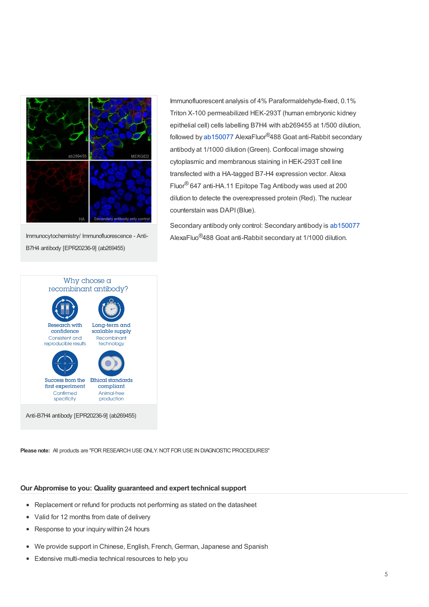

Immunocytochemistry/ Immunofluorescence - Anti-B7H4 antibody [EPR20236-9] (ab269455)

Immunofluorescent analysis of 4% Paraformaldehyde-fixed, 0.1% Triton X-100 permeabilized HEK-293T (human embryonic kidney epithelial cell) cells labelling B7H4 with ab269455 at 1/500 dilution, followed by [ab150077](https://www.abcam.com/ab150077.html) AlexaFluor<sup>®</sup>488 Goat anti-Rabbit secondary antibody at 1/1000 dilution (Green). Confocal image showing cytoplasmic and membranous staining in HEK-293T cell line transfected with a HA-tagged B7-H4 expression vector. Alexa Fluor® 647 anti-HA.11 Epitope Tag Antibody was used at 200 dilution to detecte the overexpressed protein (Red). The nuclear counterstain was DAPI(Blue).

Secondary antibody only control: Secondary antibody is [ab150077](https://www.abcam.com/ab150077.html) AlexaFluo<sup>®</sup>488 Goat anti-Rabbit secondary at 1/1000 dilution.



**Please note:** All products are "FOR RESEARCH USE ONLY. NOT FOR USE IN DIAGNOSTIC PROCEDURES"

#### **Our Abpromise to you: Quality guaranteed and expert technical support**

- Replacement or refund for products not performing as stated on the datasheet
- Valid for 12 months from date of delivery
- Response to your inquiry within 24 hours
- We provide support in Chinese, English, French, German, Japanese and Spanish  $\bullet$
- Extensive multi-media technical resources to help you  $\bullet$